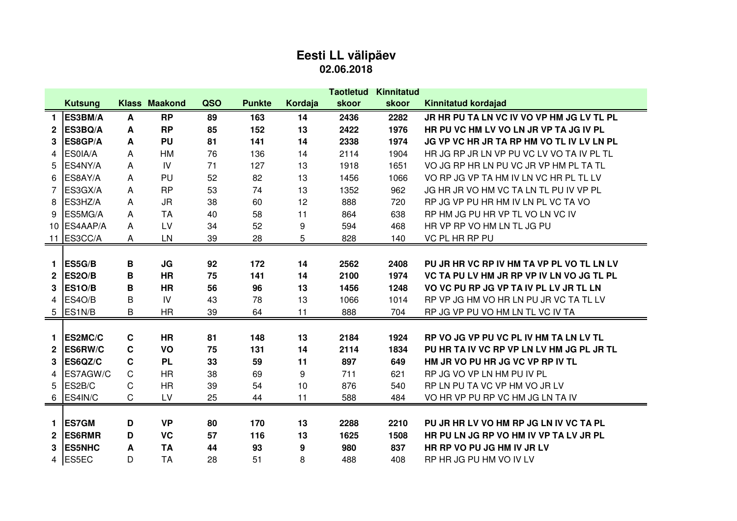## **Eesti LL välipäev 02.06.2018**

|              |                |   |                      |     |               |         | Taotletud | Kinnitatud |                                           |
|--------------|----------------|---|----------------------|-----|---------------|---------|-----------|------------|-------------------------------------------|
|              | <b>Kutsung</b> |   | <b>Klass Maakond</b> | QSO | <b>Punkte</b> | Kordaja | skoor     | skoor      | <b>Kinnitatud kordajad</b>                |
| 1            | ES3BM/A        | A | <b>RP</b>            | 89  | 163           | 14      | 2436      | 2282       | JR HR PU TA LN VC IV VO VP HM JG LV TL PL |
| $\mathbf{2}$ | ES3BQ/A        | A | <b>RP</b>            | 85  | 152           | 13      | 2422      | 1976       | HR PU VC HM LV VO LN JR VP TA JG IV PL    |
| 3            | ES8GP/A        | A | <b>PU</b>            | 81  | 141           | 14      | 2338      | 1974       | JG VP VC HR JR TA RP HM VO TL IV LV LN PL |
| 4            | ES0IA/A        | Α | HM                   | 76  | 136           | 14      | 2114      | 1904       | HR JG RP JR LN VP PU VC LV VO TA IV PL TL |
| 5            | ES4NY/A        | A | IV                   | 71  | 127           | 13      | 1918      | 1651       | VO JG RP HR LN PU VC JR VP HM PL TA TL    |
| 6            | ES8AY/A        | Α | PU                   | 52  | 82            | 13      | 1456      | 1066       | VO RP JG VP TA HM IV LN VC HR PL TL LV    |
| 7            | ES3GX/A        | A | <b>RP</b>            | 53  | 74            | 13      | 1352      | 962        | JG HR JR VO HM VC TA LN TL PU IV VP PL    |
| 8            | ES3HZ/A        | A | <b>JR</b>            | 38  | 60            | 12      | 888       | 720        | RP JG VP PU HR HM IV LN PL VC TA VO       |
| 9            | ES5MG/A        | Α | <b>TA</b>            | 40  | 58            | 11      | 864       | 638        | RP HM JG PU HR VP TL VO LN VC IV          |
| 10           | ES4AAP/A       | A | LV                   | 34  | 52            | 9       | 594       | 468        | HR VP RP VO HM LN TL JG PU                |
| 11           | ES3CC/A        | Α | LN                   | 39  | 28            | 5       | 828       | 140        | VC PL HR RP PU                            |
|              |                |   |                      |     |               |         |           |            |                                           |
| 1.           | ES5G/B         | В | JG                   | 92  | 172           | 14      | 2562      | 2408       | PU JR HR VC RP IV HM TA VP PL VO TL LN LV |
| $\mathbf{2}$ | <b>ES20/B</b>  | в | <b>HR</b>            | 75  | 141           | 14      | 2100      | 1974       | VC TA PU LV HM JR RP VP IV LN VO JG TL PL |
| 3            | <b>ES10/B</b>  | В | <b>HR</b>            | 56  | 96            | 13      | 1456      | 1248       | VO VC PU RP JG VP TA IV PL LV JR TL LN    |
| 4            | ES4O/B         | B | IV                   | 43  | 78            | 13      | 1066      | 1014       | RP VP JG HM VO HR LN PU JR VC TA TL LV    |
| 5            | ES1N/B         | B | <b>HR</b>            | 39  | 64            | 11      | 888       | 704        | RP JG VP PU VO HM LN TL VC IV TA          |
|              |                |   |                      |     |               |         |           |            |                                           |
| 1.           | ES2MC/C        | C | <b>HR</b>            | 81  | 148           | 13      | 2184      | 1924       | RP VO JG VP PU VC PL IV HM TA LN LV TL    |
| $\mathbf{2}$ | ES6RW/C        | C | VO                   | 75  | 131           | 14      | 2114      | 1834       | PU HR TA IV VC RP VP LN LV HM JG PL JR TL |
| 3            | ES6QZ/C        | C | <b>PL</b>            | 33  | 59            | 11      | 897       | 649        | HM JR VO PU HR JG VC VP RP IV TL          |
| 4            | ES7AGW/C       | C | <b>HR</b>            | 38  | 69            | 9       | 711       | 621        | RP JG VO VP LN HM PU IV PL                |
| 5            | ES2B/C         | С | <b>HR</b>            | 39  | 54            | 10      | 876       | 540        | RP LN PU TA VC VP HM VO JR LV             |
| 6            | ES4IN/C        | С | LV                   | 25  | 44            | 11      | 588       | 484        | VO HR VP PU RP VC HM JG LN TA IV          |
|              |                |   |                      |     |               |         |           |            |                                           |
| 1.           | <b>ES7GM</b>   | D | <b>VP</b>            | 80  | 170           | 13      | 2288      | 2210       | PU JR HR LV VO HM RP JG LN IV VC TA PL    |
| $\mathbf{2}$ | <b>ES6RMR</b>  | D | <b>VC</b>            | 57  | 116           | 13      | 1625      | 1508       | HR PU LN JG RP VO HM IV VP TA LV JR PL    |
| 3            | <b>ES5NHC</b>  | A | <b>TA</b>            | 44  | 93            | 9       | 980       | 837        | HR RP VO PU JG HM IV JR LV                |
| 4            | ES5EC          | D | <b>TA</b>            | 28  | 51            | 8       | 488       | 408        | RP HR JG PU HM VO IV LV                   |